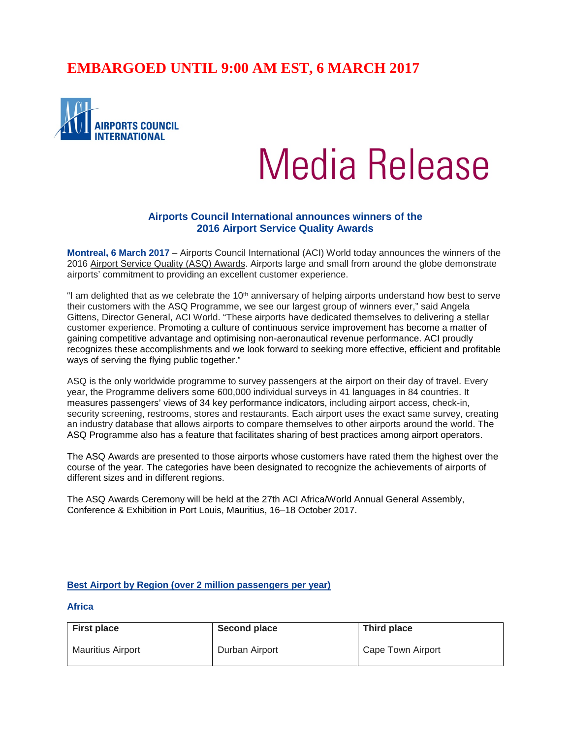# **EMBARGOED UNTIL 9:00 AM EST, 6 MARCH 2017**



# Media Release

# **Airports Council International announces winners of the 2016 Airport Service Quality Awards**

**Montreal, 6 March 2017** – Airports Council International (ACI) World today announces the winners of the 2016 Airport Service Quality (ASQ) Awards. Airports large and small from around the globe demonstrate airports' commitment to providing an excellent customer experience.

"I am delighted that as we celebrate the  $10<sup>th</sup>$  anniversary of helping airports understand how best to serve their customers with the ASQ Programme, we see our largest group of winners ever," said Angela Gittens, Director General, ACI World. "These airports have dedicated themselves to delivering a stellar customer experience. Promoting a culture of continuous service improvement has become a matter of gaining competitive advantage and optimising non-aeronautical revenue performance. ACI proudly recognizes these accomplishments and we look forward to seeking more effective, efficient and profitable ways of serving the flying public together."

ASQ is the only worldwide programme to survey passengers at the airport on their day of travel. Every year, the Programme delivers some 600,000 individual surveys in 41 languages in 84 countries. It measures passengers' views of 34 key performance indicators, including airport access, check-in, security screening, restrooms, stores and restaurants. Each airport uses the exact same survey, creating an industry database that allows airports to compare themselves to other airports around the world. The ASQ Programme also has a feature that facilitates sharing of best practices among airport operators.

The ASQ Awards are presented to those airports whose customers have rated them the highest over the course of the year. The categories have been designated to recognize the achievements of airports of different sizes and in different regions.

The ASQ Awards Ceremony will be held at the 27th ACI Africa/World Annual General Assembly, Conference & Exhibition in Port Louis, Mauritius, 16–18 October 2017.

#### **Best Airport by Region (over 2 million passengers per year)**

**Africa**

| <b>First place</b> | <b>Second place</b> | Third place       |
|--------------------|---------------------|-------------------|
| Mauritius Airport  | Durban Airport      | Cape Town Airport |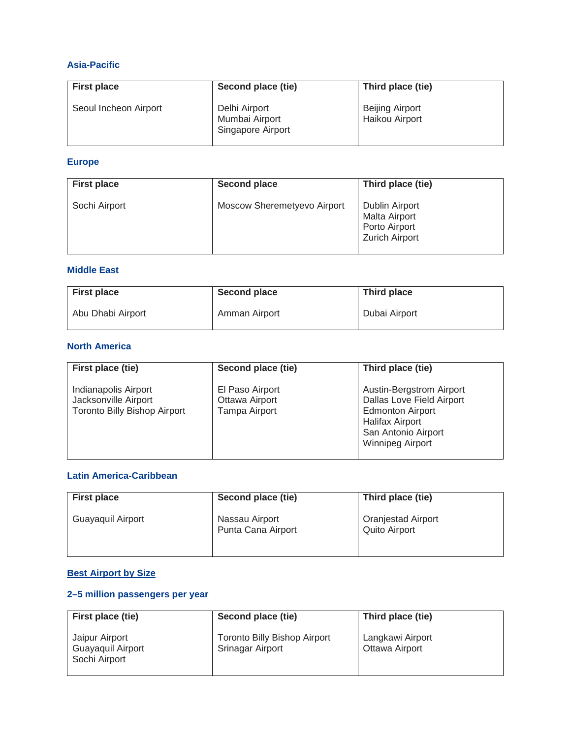# **Asia-Pacific**

| <b>First place</b>    | Second place (tie)                                   | Third place (tie)                        |
|-----------------------|------------------------------------------------------|------------------------------------------|
| Seoul Incheon Airport | Delhi Airport<br>Mumbai Airport<br>Singapore Airport | <b>Beijing Airport</b><br>Haikou Airport |

# **Europe**

| <b>First place</b> | Second place                | Third place (tie)                                                                       |
|--------------------|-----------------------------|-----------------------------------------------------------------------------------------|
| Sochi Airport      | Moscow Sheremetyevo Airport | <b>Dublin Airport</b><br><b>Malta Airport</b><br>Porto Airport<br><b>Zurich Airport</b> |

# **Middle East**

| <b>First place</b> | <b>Second place</b> | Third place   |
|--------------------|---------------------|---------------|
| Abu Dhabi Airport  | Amman Airport       | Dubai Airport |

# **North America**

| First place (tie)                                                                   | Second place (tie)                                 | Third place (tie)                                                                                                                                            |
|-------------------------------------------------------------------------------------|----------------------------------------------------|--------------------------------------------------------------------------------------------------------------------------------------------------------------|
| Indianapolis Airport<br>Jacksonville Airport<br><b>Toronto Billy Bishop Airport</b> | El Paso Airport<br>Ottawa Airport<br>Tampa Airport | Austin-Bergstrom Airport<br>Dallas Love Field Airport<br><b>Edmonton Airport</b><br><b>Halifax Airport</b><br>San Antonio Airport<br><b>Winnipeg Airport</b> |

#### **Latin America-Caribbean**

| <b>First place</b> | Second place (tie)                   | Third place (tie)                                 |
|--------------------|--------------------------------------|---------------------------------------------------|
| Guayaquil Airport  | Nassau Airport<br>Punta Cana Airport | <b>Oranjestad Airport</b><br><b>Quito Airport</b> |

# **Best Airport by Size**

# **2–5 million passengers per year**

| First place (tie)                                    | Second place (tie)                                      | Third place (tie)                  |
|------------------------------------------------------|---------------------------------------------------------|------------------------------------|
| Jaipur Airport<br>Guayaquil Airport<br>Sochi Airport | <b>Toronto Billy Bishop Airport</b><br>Srinagar Airport | Langkawi Airport<br>Ottawa Airport |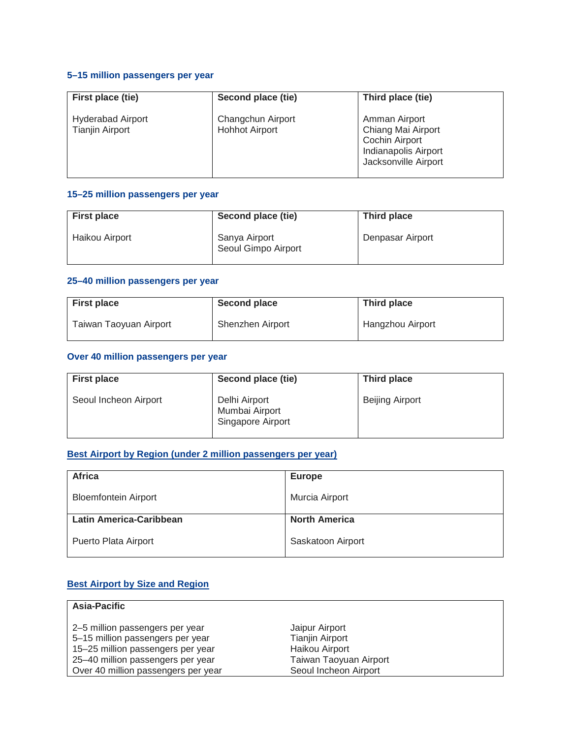### **5–15 million passengers per year**

| First place (tie)                                  | Second place (tie)                         | Third place (tie)                                                                                            |
|----------------------------------------------------|--------------------------------------------|--------------------------------------------------------------------------------------------------------------|
| <b>Hyderabad Airport</b><br><b>Tianjin Airport</b> | Changchun Airport<br><b>Hohhot Airport</b> | Amman Airport<br>Chiang Mai Airport<br><b>Cochin Airport</b><br>Indianapolis Airport<br>Jacksonville Airport |

#### **15–25 million passengers per year**

| <b>First place</b> | Second place (tie)                   | Third place      |
|--------------------|--------------------------------------|------------------|
| Haikou Airport     | Sanya Airport<br>Seoul Gimpo Airport | Denpasar Airport |

# **25–40 million passengers per year**

| <b>First place</b>     | Second place     | Third place      |
|------------------------|------------------|------------------|
| Taiwan Taoyuan Airport | Shenzhen Airport | Hangzhou Airport |

# **Over 40 million passengers per year**

| <b>First place</b>    | Second place (tie)                                   | Third place            |
|-----------------------|------------------------------------------------------|------------------------|
| Seoul Incheon Airport | Delhi Airport<br>Mumbai Airport<br>Singapore Airport | <b>Beijing Airport</b> |

# **Best Airport by Region (under 2 million passengers per year)**

| Africa                      | <b>Europe</b>        |
|-----------------------------|----------------------|
| <b>Bloemfontein Airport</b> | Murcia Airport       |
| Latin America-Caribbean     | <b>North America</b> |
| Puerto Plata Airport        | Saskatoon Airport    |

# **Best Airport by Size and Region**

| <b>Asia-Pacific</b>                 |                        |
|-------------------------------------|------------------------|
|                                     |                        |
| 2–5 million passengers per year     | Jaipur Airport         |
| 5-15 million passengers per year    | <b>Tianjin Airport</b> |
| 15-25 million passengers per year   | Haikou Airport         |
| 25–40 million passengers per year   | Taiwan Taoyuan Airport |
| Over 40 million passengers per year | Seoul Incheon Airport  |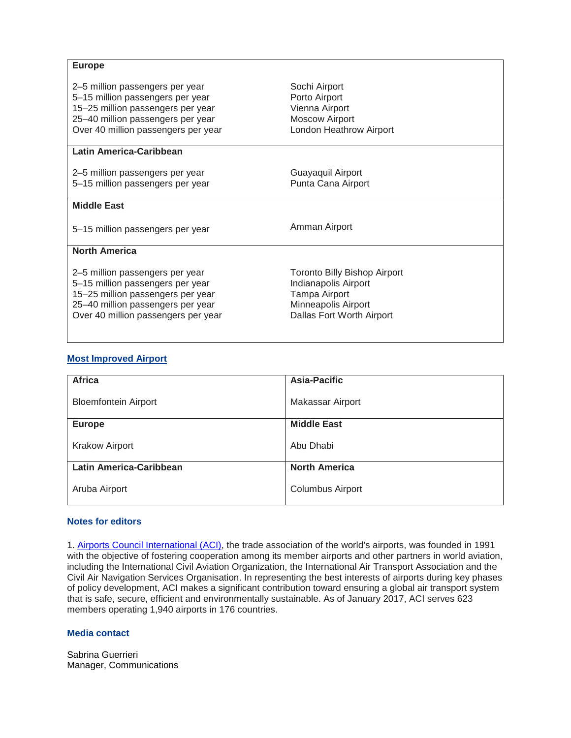| <b>Europe</b>                                                                                                                                                                        |                                                                                                                                  |
|--------------------------------------------------------------------------------------------------------------------------------------------------------------------------------------|----------------------------------------------------------------------------------------------------------------------------------|
| 2–5 million passengers per year<br>5-15 million passengers per year<br>15-25 million passengers per year<br>25-40 million passengers per year<br>Over 40 million passengers per year | Sochi Airport<br>Porto Airport<br>Vienna Airport<br><b>Moscow Airport</b><br>London Heathrow Airport                             |
| <b>Latin America-Caribbean</b>                                                                                                                                                       |                                                                                                                                  |
| 2–5 million passengers per year<br>5-15 million passengers per year                                                                                                                  | Guayaquil Airport<br>Punta Cana Airport                                                                                          |
| <b>Middle East</b>                                                                                                                                                                   |                                                                                                                                  |
| 5-15 million passengers per year                                                                                                                                                     | Amman Airport                                                                                                                    |
| <b>North America</b>                                                                                                                                                                 |                                                                                                                                  |
| 2-5 million passengers per year<br>5-15 million passengers per year<br>15-25 million passengers per year<br>25-40 million passengers per year<br>Over 40 million passengers per year | <b>Toronto Billy Bishop Airport</b><br>Indianapolis Airport<br>Tampa Airport<br>Minneapolis Airport<br>Dallas Fort Worth Airport |

#### **Most Improved Airport**

| <b>Africa</b>               | <b>Asia-Pacific</b>     |
|-----------------------------|-------------------------|
| <b>Bloemfontein Airport</b> | Makassar Airport        |
| <b>Europe</b>               | <b>Middle East</b>      |
| <b>Krakow Airport</b>       | Abu Dhabi               |
| Latin America-Caribbean     | <b>North America</b>    |
| Aruba Airport               | <b>Columbus Airport</b> |

#### **Notes for editors**

1. [Airports Council International \(ACI\),](http://www.aci.aero/) the trade association of the world's airports, was founded in 1991 with the objective of fostering cooperation among its member airports and other partners in world aviation, including the International Civil Aviation Organization, the International Air Transport Association and the Civil Air Navigation Services Organisation. In representing the best interests of airports during key phases of policy development, ACI makes a significant contribution toward ensuring a global air transport system that is safe, secure, efficient and environmentally sustainable. As of January 2017, ACI serves 623 members operating 1,940 airports in 176 countries.

#### **Media contact**

Sabrina Guerrieri Manager, Communications